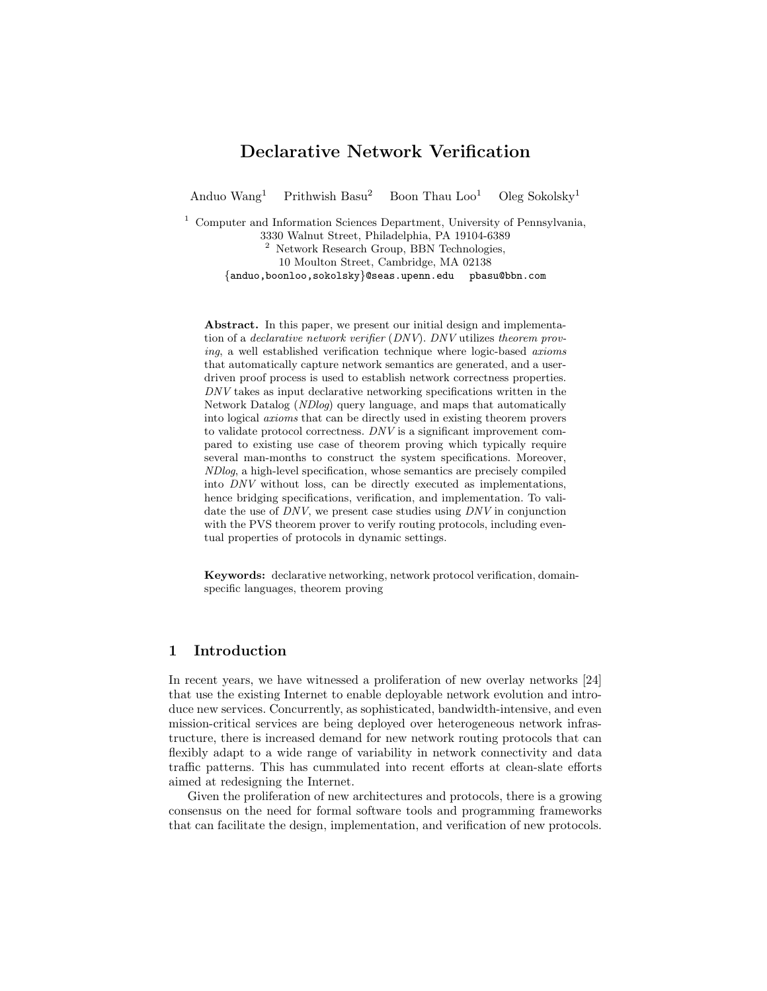# Declarative Network Verification

Anduo Wang<sup>1</sup> Prithwish Basu<sup>2</sup> Boon Thau Loo<sup>1</sup> Oleg Sokolsky<sup>1</sup>

<sup>1</sup> Computer and Information Sciences Department, University of Pennsylvania, 3330 Walnut Street, Philadelphia, PA 19104-6389 <sup>2</sup> Network Research Group, BBN Technologies, 10 Moulton Street, Cambridge, MA 02138 {anduo,boonloo,sokolsky}@seas.upenn.edu pbasu@bbn.com

Abstract. In this paper, we present our initial design and implementation of a declarative network verifier (DNV). DNV utilizes theorem proving, a well established verification technique where logic-based axioms that automatically capture network semantics are generated, and a userdriven proof process is used to establish network correctness properties. DNV takes as input declarative networking specifications written in the Network Datalog (NDlog) query language, and maps that automatically into logical axioms that can be directly used in existing theorem provers to validate protocol correctness. DNV is a significant improvement compared to existing use case of theorem proving which typically require several man-months to construct the system specifications. Moreover, NDlog, a high-level specification, whose semantics are precisely compiled into DNV without loss, can be directly executed as implementations, hence bridging specifications, verification, and implementation. To validate the use of DNV, we present case studies using DNV in conjunction with the PVS theorem prover to verify routing protocols, including eventual properties of protocols in dynamic settings.

Keywords: declarative networking, network protocol verification, domainspecific languages, theorem proving

## 1 Introduction

In recent years, we have witnessed a proliferation of new overlay networks [24] that use the existing Internet to enable deployable network evolution and introduce new services. Concurrently, as sophisticated, bandwidth-intensive, and even mission-critical services are being deployed over heterogeneous network infrastructure, there is increased demand for new network routing protocols that can flexibly adapt to a wide range of variability in network connectivity and data traffic patterns. This has cummulated into recent efforts at clean-slate efforts aimed at redesigning the Internet.

Given the proliferation of new architectures and protocols, there is a growing consensus on the need for formal software tools and programming frameworks that can facilitate the design, implementation, and verification of new protocols.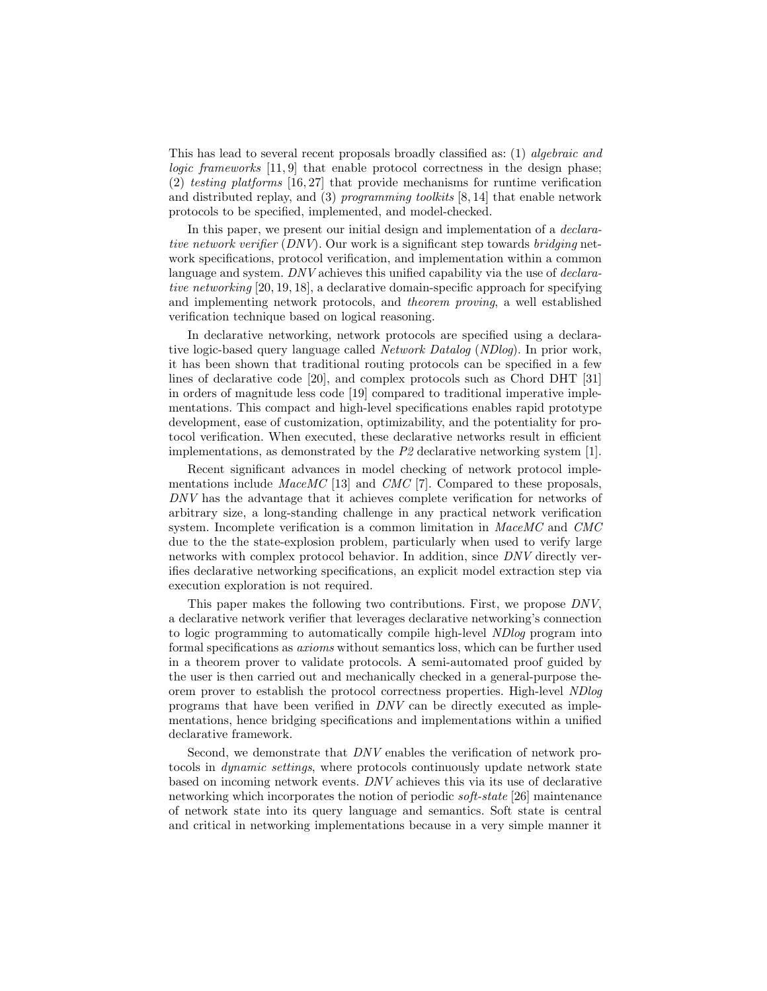This has lead to several recent proposals broadly classified as: (1) algebraic and logic frameworks [11, 9] that enable protocol correctness in the design phase; (2) testing platforms [16, 27] that provide mechanisms for runtime verification and distributed replay, and (3) programming toolkits  $[8, 14]$  that enable network protocols to be specified, implemented, and model-checked.

In this paper, we present our initial design and implementation of a declarative network verifier (DNV). Our work is a significant step towards bridging network specifications, protocol verification, and implementation within a common language and system. DNV achieves this unified capability via the use of *declara*tive networking [20, 19, 18], a declarative domain-specific approach for specifying and implementing network protocols, and theorem proving, a well established verification technique based on logical reasoning.

In declarative networking, network protocols are specified using a declarative logic-based query language called Network Datalog (NDlog). In prior work, it has been shown that traditional routing protocols can be specified in a few lines of declarative code [20], and complex protocols such as Chord DHT [31] in orders of magnitude less code [19] compared to traditional imperative implementations. This compact and high-level specifications enables rapid prototype development, ease of customization, optimizability, and the potentiality for protocol verification. When executed, these declarative networks result in efficient implementations, as demonstrated by the  $P2$  declarative networking system [1].

Recent significant advances in model checking of network protocol implementations include *MaceMC* [13] and *CMC* [7]. Compared to these proposals, DNV has the advantage that it achieves complete verification for networks of arbitrary size, a long-standing challenge in any practical network verification system. Incomplete verification is a common limitation in MaceMC and CMC due to the the state-explosion problem, particularly when used to verify large networks with complex protocol behavior. In addition, since DNV directly verifies declarative networking specifications, an explicit model extraction step via execution exploration is not required.

This paper makes the following two contributions. First, we propose DNV, a declarative network verifier that leverages declarative networking's connection to logic programming to automatically compile high-level NDlog program into formal specifications as axioms without semantics loss, which can be further used in a theorem prover to validate protocols. A semi-automated proof guided by the user is then carried out and mechanically checked in a general-purpose theorem prover to establish the protocol correctness properties. High-level NDlog programs that have been verified in DNV can be directly executed as implementations, hence bridging specifications and implementations within a unified declarative framework.

Second, we demonstrate that DNV enables the verification of network protocols in dynamic settings, where protocols continuously update network state based on incoming network events. DNV achieves this via its use of declarative networking which incorporates the notion of periodic soft-state [26] maintenance of network state into its query language and semantics. Soft state is central and critical in networking implementations because in a very simple manner it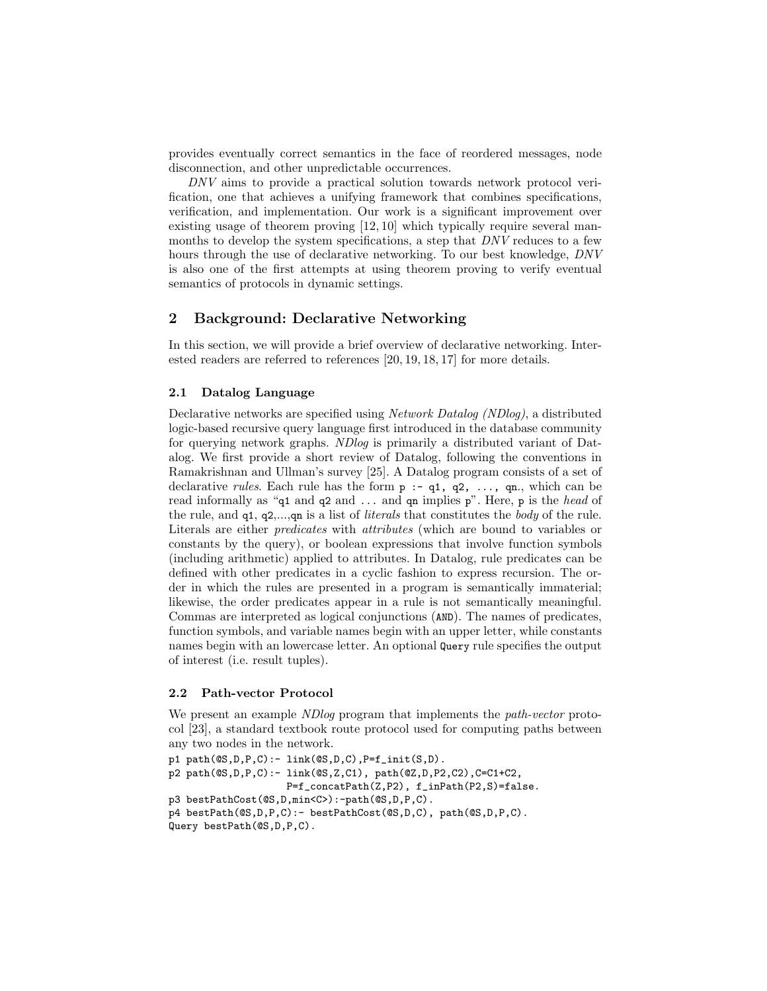provides eventually correct semantics in the face of reordered messages, node disconnection, and other unpredictable occurrences.

DNV aims to provide a practical solution towards network protocol verification, one that achieves a unifying framework that combines specifications, verification, and implementation. Our work is a significant improvement over existing usage of theorem proving [12, 10] which typically require several manmonths to develop the system specifications, a step that DNV reduces to a few hours through the use of declarative networking. To our best knowledge, DNV is also one of the first attempts at using theorem proving to verify eventual semantics of protocols in dynamic settings.

## 2 Background: Declarative Networking

In this section, we will provide a brief overview of declarative networking. Interested readers are referred to references [20, 19, 18, 17] for more details.

### 2.1 Datalog Language

Declarative networks are specified using Network Datalog (NDlog), a distributed logic-based recursive query language first introduced in the database community for querying network graphs. NDlog is primarily a distributed variant of Datalog. We first provide a short review of Datalog, following the conventions in Ramakrishnan and Ullman's survey [25]. A Datalog program consists of a set of declarative *rules*. Each rule has the form  $p : -q1, q2, \ldots, qn$ , which can be read informally as "q1 and q2 and  $\ldots$  and qn implies p". Here, p is the head of the rule, and q1, q2,...,qn is a list of literals that constitutes the body of the rule. Literals are either predicates with attributes (which are bound to variables or constants by the query), or boolean expressions that involve function symbols (including arithmetic) applied to attributes. In Datalog, rule predicates can be defined with other predicates in a cyclic fashion to express recursion. The order in which the rules are presented in a program is semantically immaterial; likewise, the order predicates appear in a rule is not semantically meaningful. Commas are interpreted as logical conjunctions (AND). The names of predicates, function symbols, and variable names begin with an upper letter, while constants names begin with an lowercase letter. An optional Query rule specifies the output of interest (i.e. result tuples).

#### 2.2 Path-vector Protocol

We present an example NDlog program that implements the *path-vector* protocol [23], a standard textbook route protocol used for computing paths between any two nodes in the network.

p1 path $(\mathbb{GS}, D, P, C)$ :- link $(\mathbb{GS}, D, C)$ ,  $P=f_$ init $(S, D)$ . p2 path(@S,D,P,C):- link(@S,Z,C1), path(@Z,D,P2,C2),C=C1+C2, P=f\_concatPath(Z,P2), f\_inPath(P2,S)=false. p3 bestPathCost(@S,D,min<C>):-path(@S,D,P,C). p4 bestPath(@S,D,P,C):- bestPathCost(@S,D,C), path(@S,D,P,C). Query bestPath(@S,D,P,C).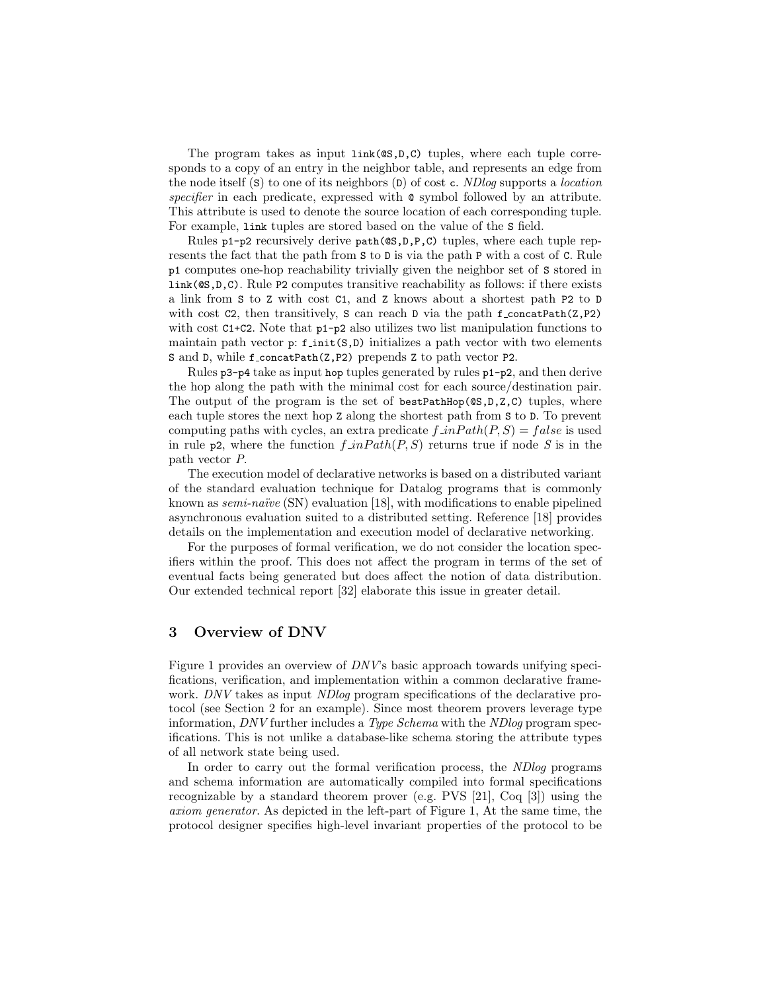The program takes as input  $link(\mathcal{CS},D,C)$  tuples, where each tuple corresponds to a copy of an entry in the neighbor table, and represents an edge from the node itself  $(S)$  to one of its neighbors  $(D)$  of cost c. NDlog supports a location specifier in each predicate, expressed with  $\circ$  symbol followed by an attribute. This attribute is used to denote the source location of each corresponding tuple. For example, link tuples are stored based on the value of the S field.

Rules p1-p2 recursively derive path(@S,D,P,C) tuples, where each tuple represents the fact that the path from S to D is via the path P with a cost of C. Rule p1 computes one-hop reachability trivially given the neighbor set of S stored in link(@S,D,C). Rule P2 computes transitive reachability as follows: if there exists a link from S to Z with cost C1, and Z knows about a shortest path P2 to D with cost  $C2$ , then transitively,  $S$  can reach  $D$  via the path  $f_{concentPath}(Z,P2)$ with cost  $C1+C2$ . Note that  $p1-p2$  also utilizes two list manipulation functions to maintain path vector  $p: f\text{-init}(S,D)$  initializes a path vector with two elements S and D, while f\_concatPath(Z,P2) prepends Z to path vector P2.

Rules p3-p4 take as input hop tuples generated by rules p1-p2, and then derive the hop along the path with the minimal cost for each source/destination pair. The output of the program is the set of bestPathHop( $\mathcal{CS}, D, Z, C$ ) tuples, where each tuple stores the next hop Z along the shortest path from S to D. To prevent computing paths with cycles, an extra predicate  $f.inPath(P, S) = false$  is used in rule p2, where the function  $f \nin Path(P, S)$  returns true if node S is in the path vector P.

The execution model of declarative networks is based on a distributed variant of the standard evaluation technique for Datalog programs that is commonly known as  $semi\text{-}naïve$  (SN) evaluation [18], with modifications to enable pipelined asynchronous evaluation suited to a distributed setting. Reference [18] provides details on the implementation and execution model of declarative networking.

For the purposes of formal verification, we do not consider the location specifiers within the proof. This does not affect the program in terms of the set of eventual facts being generated but does affect the notion of data distribution. Our extended technical report [32] elaborate this issue in greater detail.

## 3 Overview of DNV

Figure 1 provides an overview of DNV's basic approach towards unifying specifications, verification, and implementation within a common declarative framework. DNV takes as input NDlog program specifications of the declarative protocol (see Section 2 for an example). Since most theorem provers leverage type information, DNV further includes a Type Schema with the NDlog program specifications. This is not unlike a database-like schema storing the attribute types of all network state being used.

In order to carry out the formal verification process, the NDlog programs and schema information are automatically compiled into formal specifications recognizable by a standard theorem prover (e.g. PVS [21], Coq [3]) using the axiom generator. As depicted in the left-part of Figure 1, At the same time, the protocol designer specifies high-level invariant properties of the protocol to be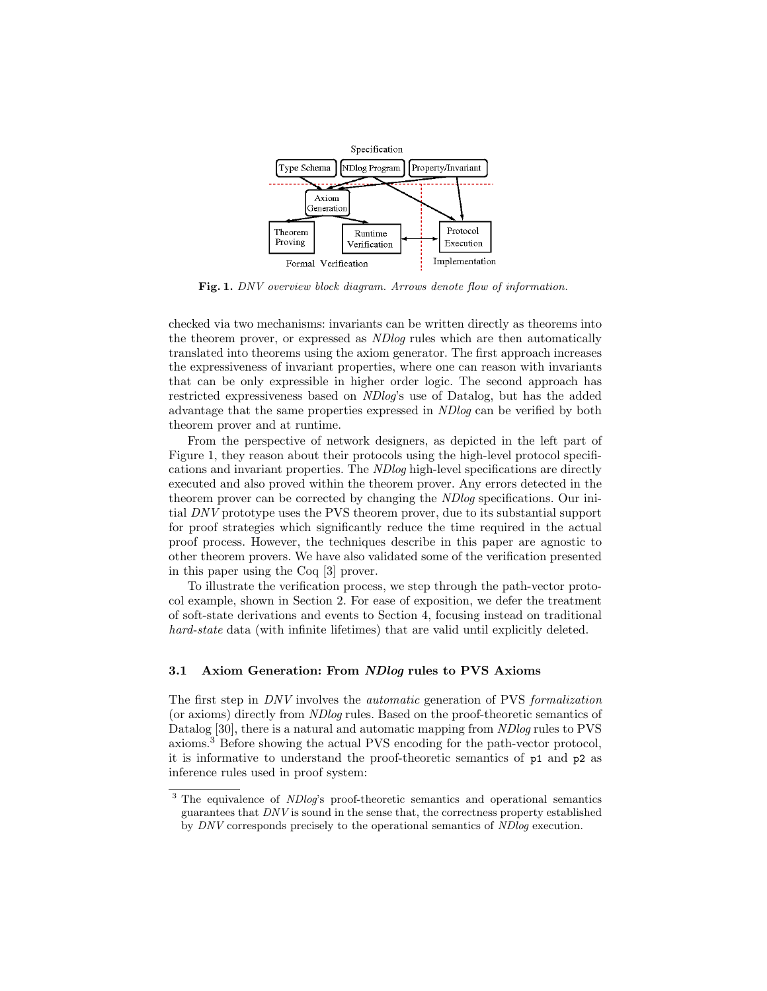

Fig. 1. DNV overview block diagram. Arrows denote flow of information.

checked via two mechanisms: invariants can be written directly as theorems into the theorem prover, or expressed as NDlog rules which are then automatically translated into theorems using the axiom generator. The first approach increases the expressiveness of invariant properties, where one can reason with invariants that can be only expressible in higher order logic. The second approach has restricted expressiveness based on NDlog's use of Datalog, but has the added advantage that the same properties expressed in NDlog can be verified by both theorem prover and at runtime.

From the perspective of network designers, as depicted in the left part of Figure 1, they reason about their protocols using the high-level protocol specifications and invariant properties. The NDlog high-level specifications are directly executed and also proved within the theorem prover. Any errors detected in the theorem prover can be corrected by changing the NDlog specifications. Our initial DNV prototype uses the PVS theorem prover, due to its substantial support for proof strategies which significantly reduce the time required in the actual proof process. However, the techniques describe in this paper are agnostic to other theorem provers. We have also validated some of the verification presented in this paper using the Coq [3] prover.

To illustrate the verification process, we step through the path-vector protocol example, shown in Section 2. For ease of exposition, we defer the treatment of soft-state derivations and events to Section 4, focusing instead on traditional hard-state data (with infinite lifetimes) that are valid until explicitly deleted.

#### 3.1 Axiom Generation: From NDlog rules to PVS Axioms

The first step in DNV involves the automatic generation of PVS formalization (or axioms) directly from NDlog rules. Based on the proof-theoretic semantics of Datalog [30], there is a natural and automatic mapping from NDlog rules to PVS axioms.<sup>3</sup> Before showing the actual PVS encoding for the path-vector protocol, it is informative to understand the proof-theoretic semantics of p1 and p2 as inference rules used in proof system:

<sup>&</sup>lt;sup>3</sup> The equivalence of *NDlog*'s proof-theoretic semantics and operational semantics guarantees that DNV is sound in the sense that, the correctness property established by DNV corresponds precisely to the operational semantics of NDlog execution.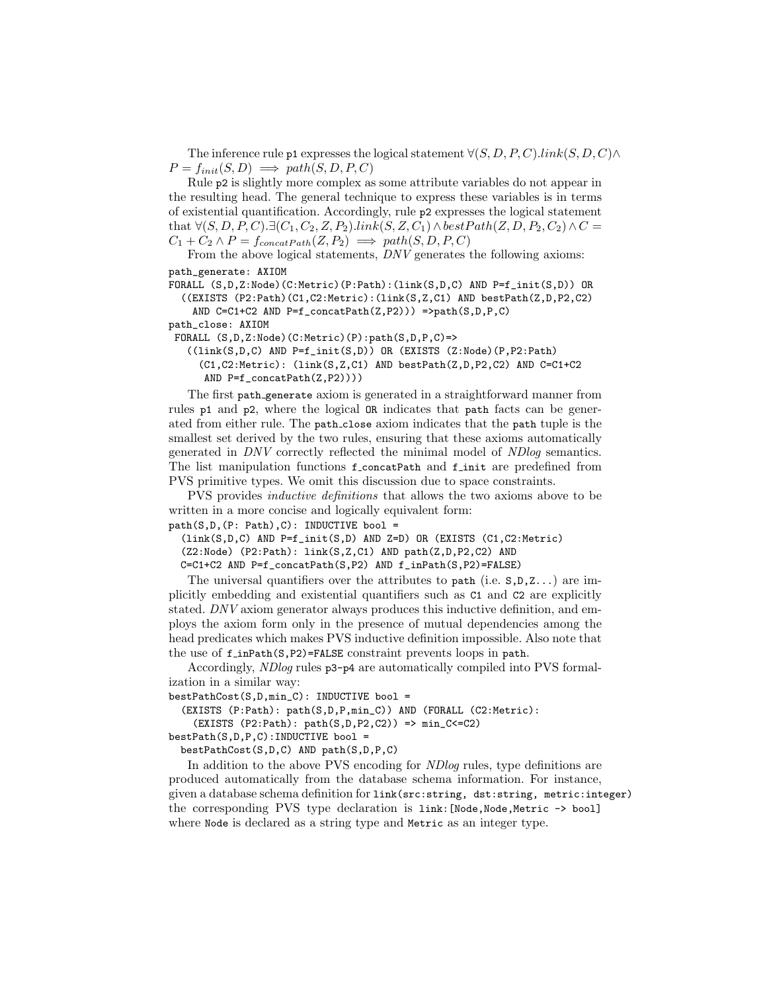The inference rule p1 expresses the logical statement  $\forall (S, D, P, C).$ link $(S, D, C) \wedge$  $P = f_{init}(S, D) \implies path(S, D, P, C)$ 

Rule p2 is slightly more complex as some attribute variables do not appear in the resulting head. The general technique to express these variables is in terms of existential quantification. Accordingly, rule p2 expresses the logical statement that  $\forall (S, D, P, C) \exists (C_1, C_2, Z, P_2).$ link $(S, Z, C_1) \wedge bestPath(Z, D, P_2, C_2) \wedge C =$  $C_1 + C_2 \wedge P = f_{concatPath}(Z, P_2) \implies path(S, D, P, C)$ 

From the above logical statements, DNV generates the following axioms: path\_generate: AXIOM

```
FORALL (S,D,Z:Node)(C:Metric)(P:Path):(link(S,D,C) AND P=f_init(S,D)) OR
  ((EXISTS (P2:Path)(C1,C2:Metric):(link(S,Z,C1) AND bestPath(Z,D,P2,C2)
    AND C=C1+C2 AND P=f_concatPath(Z,P2))) =>path(S,D,P,C)
```
path\_close: AXIOM

```
FORALL (S,D,Z:Node)(C:Metric)(P):path(S,D,P,C)=>
```

```
((link(S,D,C) AND P=f_init(S,D)) OR (EXISTS (Z:Node)(P,P2:Path)
  (C1,C2:Metric): (link(S,Z,C1) AND bestPath(Z,D,P2,C2) AND C=C1+C2
   AND P=f_concatPath(Z,P2))))
```
The first path generate axiom is generated in a straightforward manner from rules p1 and p2, where the logical OR indicates that path facts can be generated from either rule. The path close axiom indicates that the path tuple is the smallest set derived by the two rules, ensuring that these axioms automatically generated in DNV correctly reflected the minimal model of NDlog semantics. The list manipulation functions f\_concatPath and f\_init are predefined from PVS primitive types. We omit this discussion due to space constraints.

PVS provides inductive definitions that allows the two axioms above to be written in a more concise and logically equivalent form:

 $path(S,D,(P: Path),C): INDUCTIVE bool =$ 

(link(S,D,C) AND P=f\_init(S,D) AND Z=D) OR (EXISTS (C1,C2:Metric)

 $(Z2:Node)$   $(P2:Path): link(S,Z,C1)$  AND  $path(Z,D,P2,C2)$  AND

C=C1+C2 AND P=f\_concatPath(S,P2) AND f\_inPath(S,P2)=FALSE)

The universal quantifiers over the attributes to path (i.e.  $S, D, Z...$ ) are implicitly embedding and existential quantifiers such as C1 and C2 are explicitly stated. DNV axiom generator always produces this inductive definition, and employs the axiom form only in the presence of mutual dependencies among the head predicates which makes PVS inductive definition impossible. Also note that the use of f inPath(S,P2)=FALSE constraint prevents loops in path.

Accordingly, NDlog rules p3-p4 are automatically compiled into PVS formalization in a similar way:

bestPathCost(S,D,min\_C): INDUCTIVE bool =

(EXISTS (P:Path): path(S,D,P,min\_C)) AND (FORALL (C2:Metric):

 $(EXISTS (P2:Path): path(S,D,P2,C2)) \Rightarrow min_C<$ 

bestPath(S,D,P,C):INDUCTIVE bool =

bestPathCost(S,D,C) AND path(S,D,P,C)

In addition to the above PVS encoding for NDlog rules, type definitions are produced automatically from the database schema information. For instance, given a database schema definition for link(src:string, dst:string, metric:integer) the corresponding PVS type declaration is link:[Node,Node,Metric -> bool] where Node is declared as a string type and Metric as an integer type.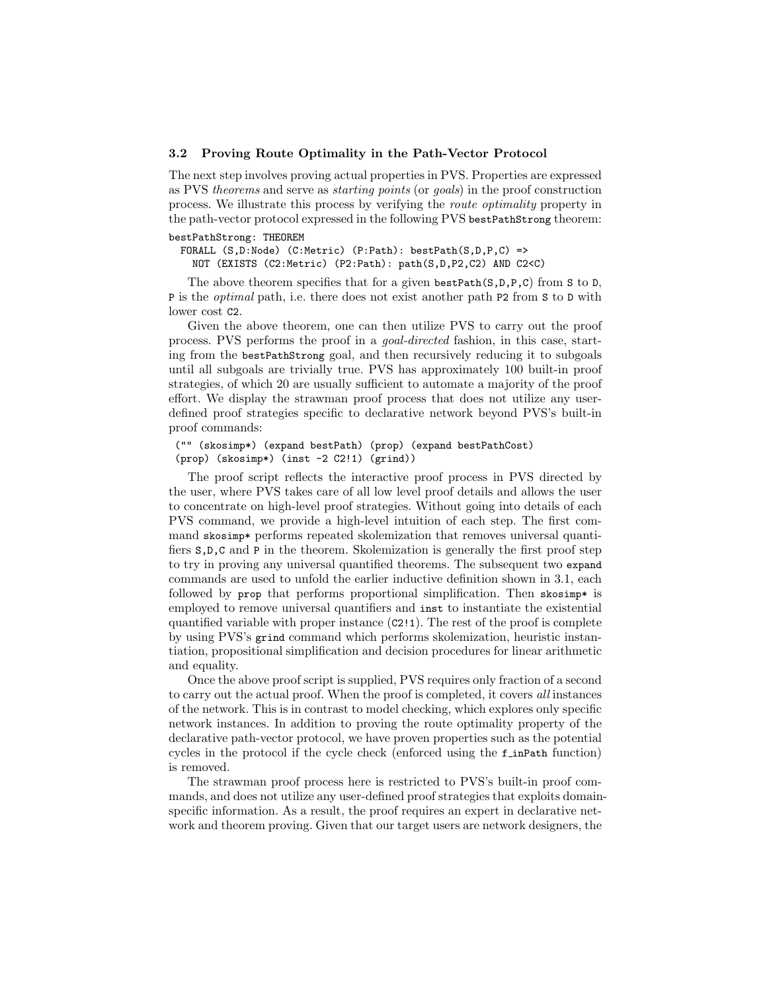#### 3.2 Proving Route Optimality in the Path-Vector Protocol

The next step involves proving actual properties in PVS. Properties are expressed as PVS theorems and serve as starting points (or goals) in the proof construction process. We illustrate this process by verifying the route optimality property in the path-vector protocol expressed in the following PVS bestPathStrong theorem:

#### bestPathStrong: THEOREM

FORALL (S,D:Node) (C:Metric) (P:Path): bestPath(S,D,P,C) => NOT (EXISTS (C2:Metric) (P2:Path): path(S,D,P2,C2) AND C2<C)

The above theorem specifies that for a given bestPath(S,D,P,C) from S to D, P is the optimal path, i.e. there does not exist another path P2 from S to D with lower cost C2.

Given the above theorem, one can then utilize PVS to carry out the proof process. PVS performs the proof in a goal-directed fashion, in this case, starting from the bestPathStrong goal, and then recursively reducing it to subgoals until all subgoals are trivially true. PVS has approximately 100 built-in proof strategies, of which 20 are usually sufficient to automate a majority of the proof effort. We display the strawman proof process that does not utilize any userdefined proof strategies specific to declarative network beyond PVS's built-in proof commands:

```
("" (skosimp*) (expand bestPath) (prop) (expand bestPathCost)
(prop) (skosimp*) (inst -2 C2!1) (grind))
```
The proof script reflects the interactive proof process in PVS directed by the user, where PVS takes care of all low level proof details and allows the user to concentrate on high-level proof strategies. Without going into details of each PVS command, we provide a high-level intuition of each step. The first command skosimp\* performs repeated skolemization that removes universal quantifiers S,D,C and P in the theorem. Skolemization is generally the first proof step to try in proving any universal quantified theorems. The subsequent two expand commands are used to unfold the earlier inductive definition shown in 3.1, each followed by prop that performs proportional simplification. Then skosimp\* is employed to remove universal quantifiers and inst to instantiate the existential quantified variable with proper instance (C2!1). The rest of the proof is complete by using PVS's grind command which performs skolemization, heuristic instantiation, propositional simplification and decision procedures for linear arithmetic and equality.

Once the above proof script is supplied, PVS requires only fraction of a second to carry out the actual proof. When the proof is completed, it covers all instances of the network. This is in contrast to model checking, which explores only specific network instances. In addition to proving the route optimality property of the declarative path-vector protocol, we have proven properties such as the potential cycles in the protocol if the cycle check (enforced using the f inPath function) is removed.

The strawman proof process here is restricted to PVS's built-in proof commands, and does not utilize any user-defined proof strategies that exploits domainspecific information. As a result, the proof requires an expert in declarative network and theorem proving. Given that our target users are network designers, the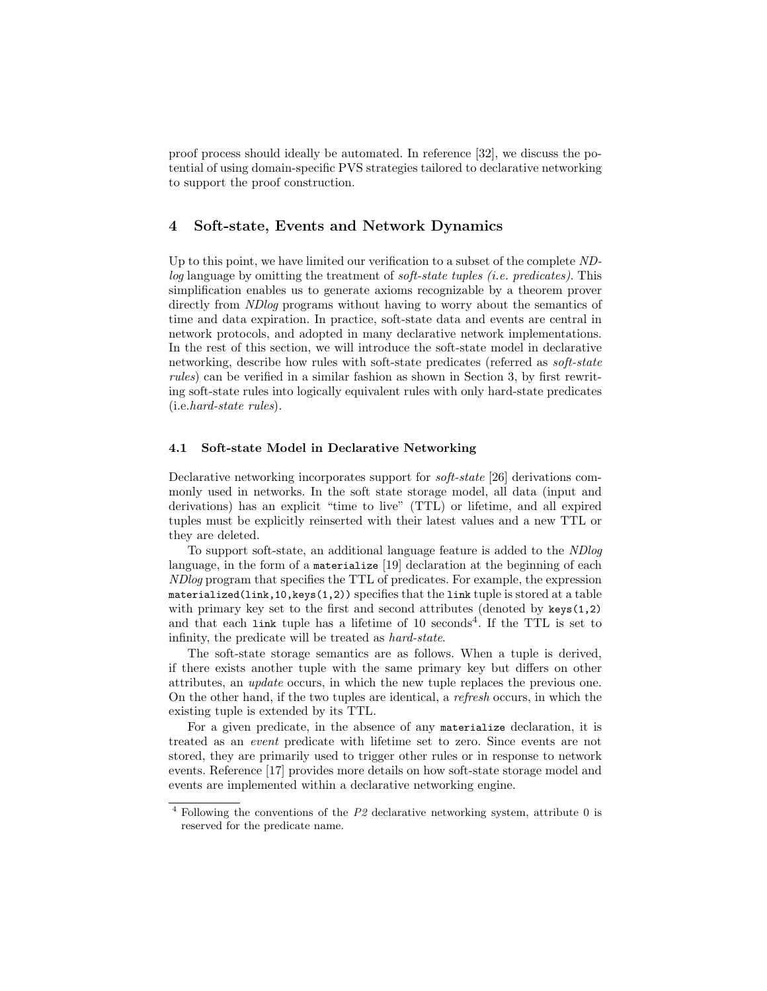proof process should ideally be automated. In reference [32], we discuss the potential of using domain-specific PVS strategies tailored to declarative networking to support the proof construction.

## 4 Soft-state, Events and Network Dynamics

Up to this point, we have limited our verification to a subset of the complete NDlog language by omitting the treatment of *soft-state tuples (i.e. predicates)*. This simplification enables us to generate axioms recognizable by a theorem prover directly from *NDlog* programs without having to worry about the semantics of time and data expiration. In practice, soft-state data and events are central in network protocols, and adopted in many declarative network implementations. In the rest of this section, we will introduce the soft-state model in declarative networking, describe how rules with soft-state predicates (referred as soft-state rules) can be verified in a similar fashion as shown in Section 3, by first rewriting soft-state rules into logically equivalent rules with only hard-state predicates (i.e.hard-state rules).

#### 4.1 Soft-state Model in Declarative Networking

Declarative networking incorporates support for soft-state [26] derivations commonly used in networks. In the soft state storage model, all data (input and derivations) has an explicit "time to live" (TTL) or lifetime, and all expired tuples must be explicitly reinserted with their latest values and a new TTL or they are deleted.

To support soft-state, an additional language feature is added to the NDlog language, in the form of a materialize [19] declaration at the beginning of each NDlog program that specifies the TTL of predicates. For example, the expression materialized(link,10,keys(1,2)) specifies that the link tuple is stored at a table with primary key set to the first and second attributes (denoted by keys(1,2) and that each  $\text{link tuple}$  has a lifetime of 10 seconds<sup>4</sup>. If the TTL is set to infinity, the predicate will be treated as hard-state.

The soft-state storage semantics are as follows. When a tuple is derived, if there exists another tuple with the same primary key but differs on other attributes, an update occurs, in which the new tuple replaces the previous one. On the other hand, if the two tuples are identical, a refresh occurs, in which the existing tuple is extended by its TTL.

For a given predicate, in the absence of any materialize declaration, it is treated as an event predicate with lifetime set to zero. Since events are not stored, they are primarily used to trigger other rules or in response to network events. Reference [17] provides more details on how soft-state storage model and events are implemented within a declarative networking engine.

 $4$  Following the conventions of the  $P2$  declarative networking system, attribute 0 is reserved for the predicate name.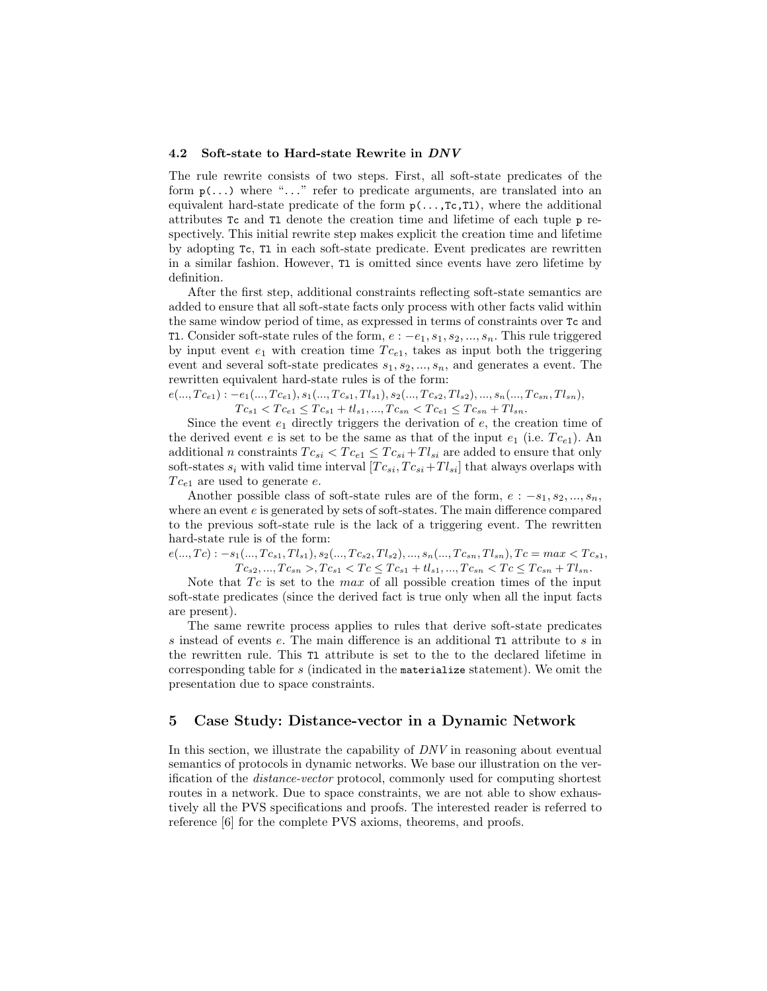#### 4.2 Soft-state to Hard-state Rewrite in DNV

The rule rewrite consists of two steps. First, all soft-state predicates of the form  $p(\ldots)$  where " $\ldots$ " refer to predicate arguments, are translated into an equivalent hard-state predicate of the form  $p(\ldots,Tc,T1)$ , where the additional attributes Tc and Tl denote the creation time and lifetime of each tuple p respectively. This initial rewrite step makes explicit the creation time and lifetime by adopting Tc, Tl in each soft-state predicate. Event predicates are rewritten in a similar fashion. However, Tl is omitted since events have zero lifetime by definition.

After the first step, additional constraints reflecting soft-state semantics are added to ensure that all soft-state facts only process with other facts valid within the same window period of time, as expressed in terms of constraints over Tc and Tl. Consider soft-state rules of the form,  $e: -e_1, s_1, s_2, ..., s_n$ . This rule triggered by input event  $e_1$  with creation time  $T c_{e1}$ , takes as input both the triggering event and several soft-state predicates  $s_1, s_2, ..., s_n$ , and generates a event. The rewritten equivalent hard-state rules is of the form:

 $e(..., T c_{e1}) : -e_1(..., T c_{e1}), s_1(..., T c_{s1}, T l_{s1}), s_2(..., T c_{s2}, T l_{s2}), ..., s_n(..., T c_{sn}, T l_{sn}),$  $T c_{s1} < T c_{e1} \leq T c_{s1} + t l_{s1}, ..., T c_{sn} < T c_{e1} \leq T c_{sn} + T l_{sn}.$ 

Since the event  $e_1$  directly triggers the derivation of  $e$ , the creation time of the derived event e is set to be the same as that of the input  $e_1$  (i.e.  $T_{\mathcal{C}_{e1}}$ ). An additional n constraints  $T c_{si} < T c_{e1} \leq T c_{si} + T l_{si}$  are added to ensure that only soft-states  $s_i$  with valid time interval  $[T c_{si}, T c_{si}+T l_{si}]$  that always overlaps with  $T c_{e1}$  are used to generate e.

Another possible class of soft-state rules are of the form,  $e : -s_1, s_2, ..., s_n$ , where an event  $e$  is generated by sets of soft-states. The main difference compared to the previous soft-state rule is the lack of a triggering event. The rewritten hard-state rule is of the form:

 $e(...,Tc): -s_1(...,Tc_{s1},Tl_{s1}), s_2(...,Tc_{s2},Tl_{s2}),..., s_n(...,Tc_{sn},Tl_{sn}), Tc = max < Tc_{s1},$  $T c_{s2},..., T c_{sn} >, T c_{s1} < T c \leq T c_{s1} + t l_{s1},..., T c_{sn} < T c \leq T c_{sn} + T l_{sn}.$ 

Note that  $T_c$  is set to the *max* of all possible creation times of the input soft-state predicates (since the derived fact is true only when all the input facts are present).

The same rewrite process applies to rules that derive soft-state predicates s instead of events e. The main difference is an additional Tl attribute to s in the rewritten rule. This Tl attribute is set to the to the declared lifetime in corresponding table for s (indicated in the materialize statement). We omit the presentation due to space constraints.

### 5 Case Study: Distance-vector in a Dynamic Network

In this section, we illustrate the capability of  $DNV$  in reasoning about eventual semantics of protocols in dynamic networks. We base our illustration on the verification of the distance-vector protocol, commonly used for computing shortest routes in a network. Due to space constraints, we are not able to show exhaustively all the PVS specifications and proofs. The interested reader is referred to reference [6] for the complete PVS axioms, theorems, and proofs.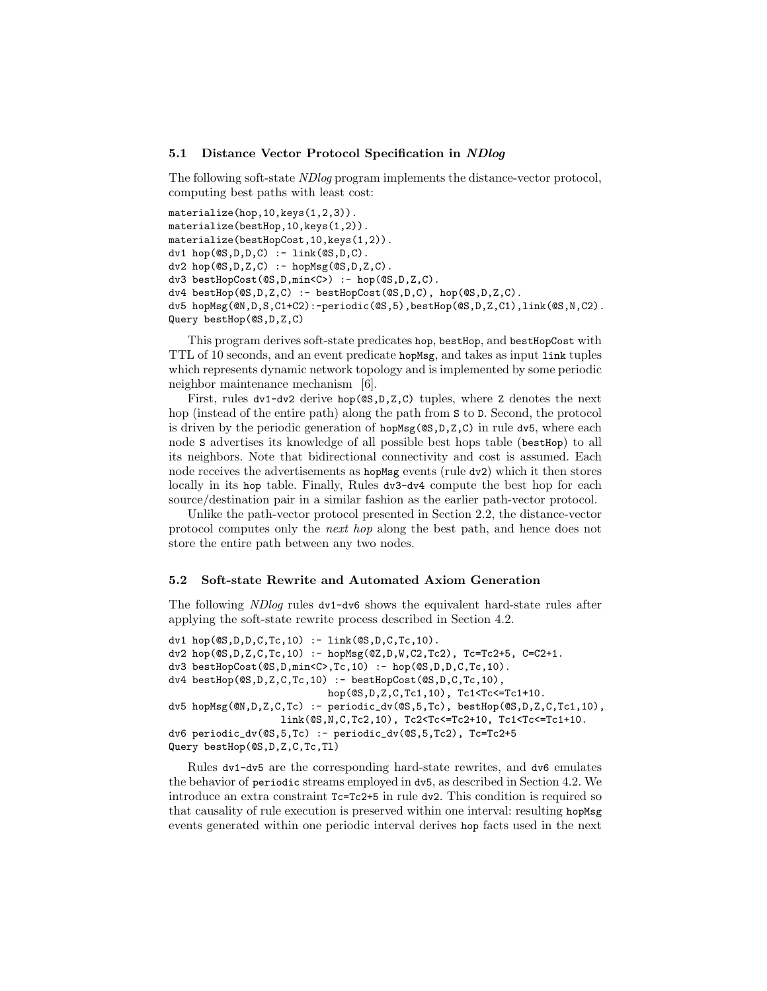#### 5.1 Distance Vector Protocol Specification in NDlog

The following soft-state NDlog program implements the distance-vector protocol, computing best paths with least cost:

```
materialize(hop,10,keys(1,2,3)).
materialize(bestHop,10,keys(1,2)).
materialize(bestHopCost,10,keys(1,2)).
dv1 hop(\mathbb{GS}, D, D, C) :- link(\mathbb{GS}, D, C).
dv2 hop(\mathbb{GS}, D, Z, C) : - hopMsg(\mathbb{GS}, D, Z, C).
dv3 bestHopCost(@S,D,min<C>) :- hop(@S,D,Z,C).
dv4 bestHop(@S,D,Z,C) :- bestHopCost(@S,D,C), hop(@S,D,Z,C).
dv5 hopMsg(@N,D,S,C1+C2):-periodic(@S,5),bestHop(@S,D,Z,C1),link(@S,N,C2).
Query bestHop(@S,D,Z,C)
```
This program derives soft-state predicates hop, bestHop, and bestHopCost with TTL of 10 seconds, and an event predicate hopMsg, and takes as input link tuples which represents dynamic network topology and is implemented by some periodic neighbor maintenance mechanism [6].

First, rules dv1-dv2 derive hop(@S,D,Z,C) tuples, where Z denotes the next hop (instead of the entire path) along the path from S to D. Second, the protocol is driven by the periodic generation of hopMsg(@S,D,Z,C) in rule dv5, where each node **S** advertises its knowledge of all possible best hops table (best Hop) to all its neighbors. Note that bidirectional connectivity and cost is assumed. Each node receives the advertisements as hopMsg events (rule  $dv2$ ) which it then stores locally in its hop table. Finally, Rules  $dv3-dv4$  compute the best hop for each source/destination pair in a similar fashion as the earlier path-vector protocol.

Unlike the path-vector protocol presented in Section 2.2, the distance-vector protocol computes only the next hop along the best path, and hence does not store the entire path between any two nodes.

#### 5.2 Soft-state Rewrite and Automated Axiom Generation

The following NDlog rules dv1-dv6 shows the equivalent hard-state rules after applying the soft-state rewrite process described in Section 4.2.

```
dv1 hop(@S,D,D,C,Tc,10) :- link(@S,D,C,Tc,10).
dv2 hop(@S,D,Z,C,Tc,10) :- hopMsg(@Z,D,W,C2,Tc2), Tc=Tc2+5, C=C2+1.
dv3 bestHopCost(@S,D,min<C>,Tc,10) :- hop(@S,D,D,C,Tc,10).
dv4 bestHop(\mathcal{CS}, D, Z, C, Tc, 10) :- bestHopCost(\mathcal{CS}, D, C, Tc, 10),
                            hop(@S,D,Z,C,Tc1,10), Tc1<Tc<=Tc1+10.
dv5 hopMsg(@N,D,Z,C,Tc) :- periodic_dv(@S,5,Tc), bestHop(@S,D,Z,C,Tc1,10),
                    link(@S,N,C,Tc2,10), Tc2<Tc<=Tc2+10, Tc1<Tc<=Tc1+10.
dv6 periodic_dv(@S,5,Tc) :- periodic_dv(@S,5,Tc2), Tc=Tc2+5
Query bestHop(@S,D,Z,C,Tc,Tl)
```
Rules dv1-dv5 are the corresponding hard-state rewrites, and dv6 emulates the behavior of periodic streams employed in dv5, as described in Section 4.2. We introduce an extra constraint Tc=Tc2+5 in rule dv2. This condition is required so that causality of rule execution is preserved within one interval: resulting hopMsg events generated within one periodic interval derives hop facts used in the next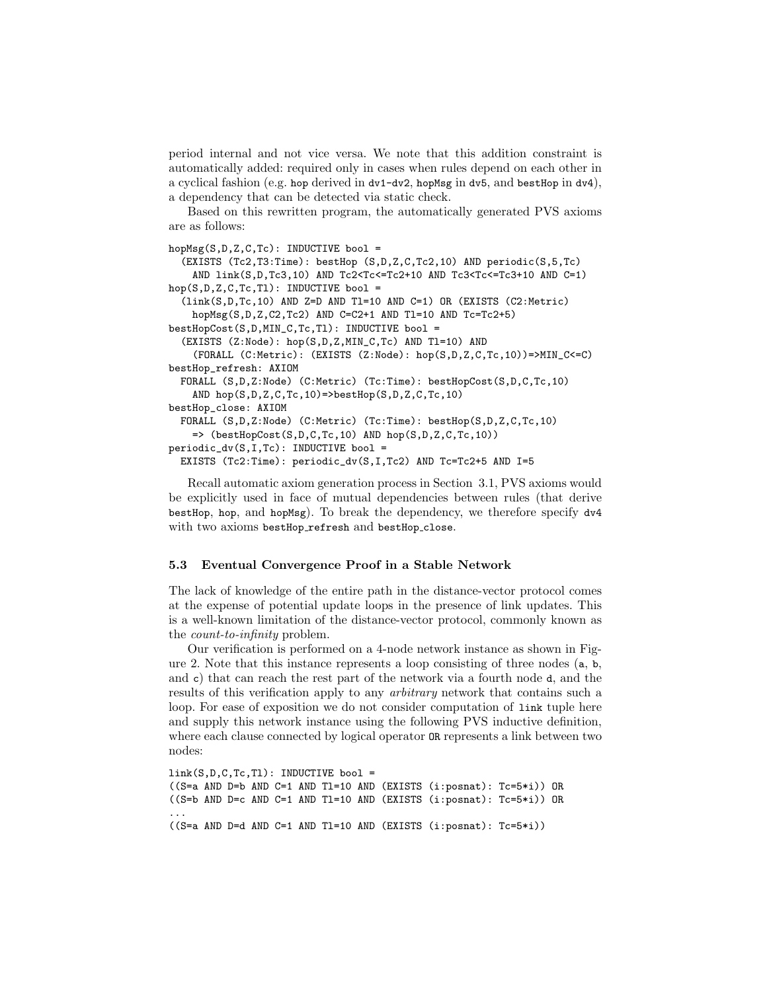period internal and not vice versa. We note that this addition constraint is automatically added: required only in cases when rules depend on each other in a cyclical fashion (e.g. hop derived in dv1-dv2, hopMsg in dv5, and bestHop in dv4), a dependency that can be detected via static check.

Based on this rewritten program, the automatically generated PVS axioms are as follows:

```
hopMsg(S,D,Z,C,Tc): INDUCTIVE bool =
  (EXISTS (Tc2,T3:Time): bestHop (S,D,Z,C,Tc2,10) AND periodic(S,5,Tc)
    AND link(S,D,Tc3,10) AND Tc2<Tc<=Tc2+10 AND Tc3<Tc<=Tc3+10 AND C=1)
hop(S, D, Z, C, Tc, T1): INDUCTIVE bool =
  (link(S,D,Tc,10) AND Z=D AND Tl=10 AND C=1) OR (EXISTS (C2:Metric)
   hopMsg(S,D,Z,C2,Tc2) AND C=C2+1 AND Tl=10 AND Tc=Tc2+5)
bestHopCost(S,D,MIN_C,Tc,Tl): INDUCTIVE bool =
  (EXISTS (Z:Node): hop(S,D,Z,MIN_C,Tc) AND Tl=10) AND
    (FORALL (C:Metric): (EXISTS (Z:Node): hop(S,D,Z,C,Tc,10))=>MIN_C<=C)
bestHop_refresh: AXIOM
 FORALL (S,D,Z:Node) (C:Metric) (Tc:Time): bestHopCost(S,D,C,Tc,10)
    AND hop(S,D,Z,C,Tc,10)=>bestHop(S,D,Z,C,Tc,10)
bestHop_close: AXIOM
 FORALL (S,D,Z:Node) (C:Metric) (Tc:Time): bestHop(S,D,Z,C,Tc,10)
    => (bestHopCost(S,D,C,Tc,10) AND hop(S,D,Z,C,Tc,10))
periodic_dv(S,I,Tc): INDUCTIVE bool =
 EXISTS (Tc2:Time): periodic_dv(S,I,Tc2) AND Tc=Tc2+5 AND I=5
```
Recall automatic axiom generation process in Section 3.1, PVS axioms would be explicitly used in face of mutual dependencies between rules (that derive bestHop, hop, and hopMsg). To break the dependency, we therefore specify dv4 with two axioms bestHop\_refresh and bestHop\_close.

#### 5.3 Eventual Convergence Proof in a Stable Network

The lack of knowledge of the entire path in the distance-vector protocol comes at the expense of potential update loops in the presence of link updates. This is a well-known limitation of the distance-vector protocol, commonly known as the count-to-infinity problem.

Our verification is performed on a 4-node network instance as shown in Figure 2. Note that this instance represents a loop consisting of three nodes (a, b, and c) that can reach the rest part of the network via a fourth node d, and the results of this verification apply to any arbitrary network that contains such a loop. For ease of exposition we do not consider computation of link tuple here and supply this network instance using the following PVS inductive definition, where each clause connected by logical operator OR represents a link between two nodes:

```
link(S, D, C, Tc, T1): INDUCTIVE bool =
((S=a AND D=b AND C=1 AND Tl=10 AND (EXISTS (i:posnat): Tc=5*i)) OR
((S=b AND D=c AND C=1 AND Tl=10 AND (EXISTS (i:posnat): Tc=5*i)) OR
...
((S=a AND D=d AND C=1 AND T1=10 AND (EXISTS (i:posnat): Tc=5*i))
```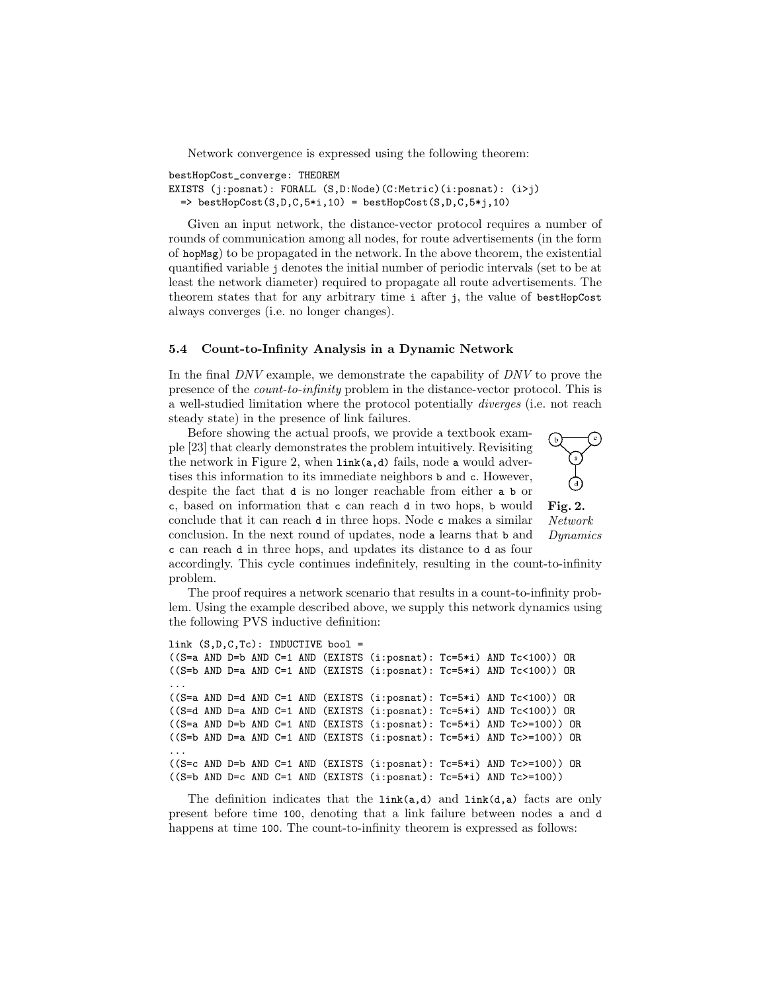Network convergence is expressed using the following theorem:

bestHopCost\_converge: THEOREM

EXISTS (j:posnat): FORALL (S,D:Node)(C:Metric)(i:posnat): (i>j)  $\Rightarrow$  bestHopCost(S,D,C,5\*i,10) = bestHopCost(S,D,C,5\*j,10)

Given an input network, the distance-vector protocol requires a number of rounds of communication among all nodes, for route advertisements (in the form of hopMsg) to be propagated in the network. In the above theorem, the existential quantified variable j denotes the initial number of periodic intervals (set to be at least the network diameter) required to propagate all route advertisements. The theorem states that for any arbitrary time i after j, the value of bestHopCost always converges (i.e. no longer changes).

#### 5.4 Count-to-Infinity Analysis in a Dynamic Network

In the final DNV example, we demonstrate the capability of DNV to prove the presence of the count-to-infinity problem in the distance-vector protocol. This is a well-studied limitation where the protocol potentially diverges (i.e. not reach steady state) in the presence of link failures.

Before showing the actual proofs, we provide a textbook example [23] that clearly demonstrates the problem intuitively. Revisiting the network in Figure 2, when link(a,d) fails, node a would advertises this information to its immediate neighbors b and c. However, despite the fact that d is no longer reachable from either a b or c, based on information that c can reach d in two hops, b would conclude that it can reach d in three hops. Node c makes a similar conclusion. In the next round of updates, node a learns that b and c can reach d in three hops, and updates its distance to d as four



Fig. 2. Network Dynamics

accordingly. This cycle continues indefinitely, resulting in the count-to-infinity problem.

The proof requires a network scenario that results in a count-to-infinity problem. Using the example described above, we supply this network dynamics using the following PVS inductive definition:

```
link (S,D,C,Tc): INDUCTIVE bool =
((S=a AND D=b AND C=1 AND (EXISTS (i:posnat)): Tc=5*i) AND Tc<100)) OR((S=b AND D=a AND C=1 AND (EXISTS (i:posnat): Tc=5*i) AND Tc<100)) OR
...
((S=a AND D=d AND C=1 AND (EXISTS (i:posnat): Tc=5*i) AND Tc<100)) OR
((S=d AND D=a AND C=1 AND (EXISTS (i:posnat): Tc=5*i) AND Tc<100)) OR
((S=a AND D=b AND C=1 AND (EXISTS (i:posnat): Tc=5*i) AND Tc>=100)) OR
((S=b AND D=a AND C=1 AND (EXISTS (i:posnat): Tc=5*i) AND Tc>=100)) OR
...
((S=c AND D=b AND C=1 AND (EXISTS (i:posnat): Tc=5*i) AND Tc>=100)) OR
((S=b AND D=c AND C=1 AND (EXISTS (i:posnat): Tc=5*i) AND Tc>=100))
```
The definition indicates that the  $link(a,d)$  and  $link(d,a)$  facts are only present before time 100, denoting that a link failure between nodes a and d happens at time 100. The count-to-infinity theorem is expressed as follows: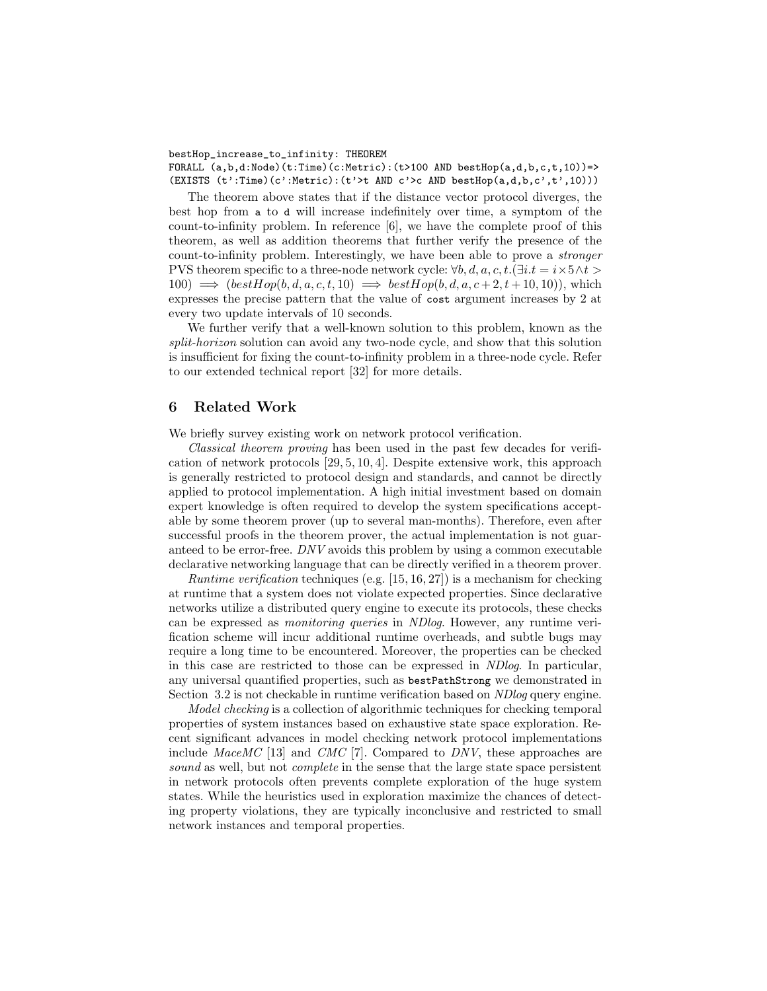bestHop\_increase\_to\_infinity: THEOREM FORALL  $(a,b,d:Node)(t:Time)(c:Metric):(t>100 AND bestHop(a,d,b,c,t,10))=$ (EXISTS  $(t': Time)(c':metric):(t' > t \text{ AND } c' > c \text{ AND } bestHop(a,d,b,c',t',10)))$ 

The theorem above states that if the distance vector protocol diverges, the best hop from a to d will increase indefinitely over time, a symptom of the count-to-infinity problem. In reference [6], we have the complete proof of this theorem, as well as addition theorems that further verify the presence of the count-to-infinity problem. Interestingly, we have been able to prove a stronger PVS theorem specific to a three-node network cycle:  $\forall b, d, a, c, t$ .  $(\exists i.t = i \times 5 \land t >$  $100) \implies (bestHop(b, d, a, c, t, 10) \implies bestHop(b, d, a, c+2, t+10, 10)),$  which expresses the precise pattern that the value of cost argument increases by 2 at every two update intervals of 10 seconds.

We further verify that a well-known solution to this problem, known as the split-horizon solution can avoid any two-node cycle, and show that this solution is insufficient for fixing the count-to-infinity problem in a three-node cycle. Refer to our extended technical report [32] for more details.

## 6 Related Work

We briefly survey existing work on network protocol verification.

Classical theorem proving has been used in the past few decades for verification of network protocols [29, 5, 10, 4]. Despite extensive work, this approach is generally restricted to protocol design and standards, and cannot be directly applied to protocol implementation. A high initial investment based on domain expert knowledge is often required to develop the system specifications acceptable by some theorem prover (up to several man-months). Therefore, even after successful proofs in the theorem prover, the actual implementation is not guaranteed to be error-free. DNV avoids this problem by using a common executable declarative networking language that can be directly verified in a theorem prover.

Runtime verification techniques (e.g. [15, 16, 27]) is a mechanism for checking at runtime that a system does not violate expected properties. Since declarative networks utilize a distributed query engine to execute its protocols, these checks can be expressed as monitoring queries in NDlog. However, any runtime verification scheme will incur additional runtime overheads, and subtle bugs may require a long time to be encountered. Moreover, the properties can be checked in this case are restricted to those can be expressed in NDlog. In particular, any universal quantified properties, such as bestPathStrong we demonstrated in Section 3.2 is not checkable in runtime verification based on *NDlog* query engine.

Model checking is a collection of algorithmic techniques for checking temporal properties of system instances based on exhaustive state space exploration. Recent significant advances in model checking network protocol implementations include *MaceMC* [13] and *CMC* [7]. Compared to *DNV*, these approaches are sound as well, but not *complete* in the sense that the large state space persistent in network protocols often prevents complete exploration of the huge system states. While the heuristics used in exploration maximize the chances of detecting property violations, they are typically inconclusive and restricted to small network instances and temporal properties.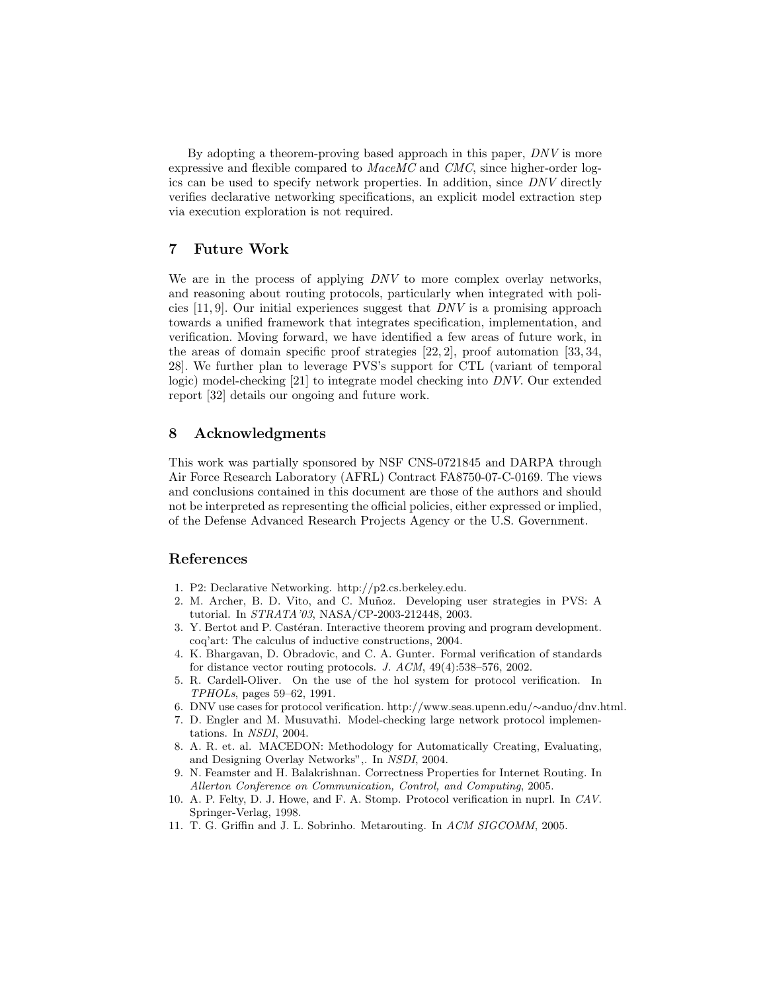By adopting a theorem-proving based approach in this paper, DNV is more expressive and flexible compared to  $MaceMC$  and  $CMC$ , since higher-order logics can be used to specify network properties. In addition, since DNV directly verifies declarative networking specifications, an explicit model extraction step via execution exploration is not required.

## 7 Future Work

We are in the process of applying DNV to more complex overlay networks, and reasoning about routing protocols, particularly when integrated with policies [11, 9]. Our initial experiences suggest that DNV is a promising approach towards a unified framework that integrates specification, implementation, and verification. Moving forward, we have identified a few areas of future work, in the areas of domain specific proof strategies [22, 2], proof automation [33, 34, 28]. We further plan to leverage PVS's support for CTL (variant of temporal logic) model-checking [21] to integrate model checking into DNV. Our extended report [32] details our ongoing and future work.

## 8 Acknowledgments

This work was partially sponsored by NSF CNS-0721845 and DARPA through Air Force Research Laboratory (AFRL) Contract FA8750-07-C-0169. The views and conclusions contained in this document are those of the authors and should not be interpreted as representing the official policies, either expressed or implied, of the Defense Advanced Research Projects Agency or the U.S. Government.

## References

- 1. P2: Declarative Networking. http://p2.cs.berkeley.edu.
- 2. M. Archer, B. D. Vito, and C. Muñoz. Developing user strategies in PVS: A tutorial. In STRATA'03, NASA/CP-2003-212448, 2003.
- 3. Y. Bertot and P. Castéran. Interactive theorem proving and program development. coq'art: The calculus of inductive constructions, 2004.
- 4. K. Bhargavan, D. Obradovic, and C. A. Gunter. Formal verification of standards for distance vector routing protocols. J. ACM, 49(4):538–576, 2002.
- 5. R. Cardell-Oliver. On the use of the hol system for protocol verification. In TPHOLs, pages 59–62, 1991.
- 6. DNV use cases for protocol verification. http://www.seas.upenn.edu/∼anduo/dnv.html.
- 7. D. Engler and M. Musuvathi. Model-checking large network protocol implementations. In NSDI, 2004.
- 8. A. R. et. al. MACEDON: Methodology for Automatically Creating, Evaluating, and Designing Overlay Networks",. In NSDI, 2004.
- 9. N. Feamster and H. Balakrishnan. Correctness Properties for Internet Routing. In Allerton Conference on Communication, Control, and Computing, 2005.
- 10. A. P. Felty, D. J. Howe, and F. A. Stomp. Protocol verification in nuprl. In CAV. Springer-Verlag, 1998.
- 11. T. G. Griffin and J. L. Sobrinho. Metarouting. In ACM SIGCOMM, 2005.